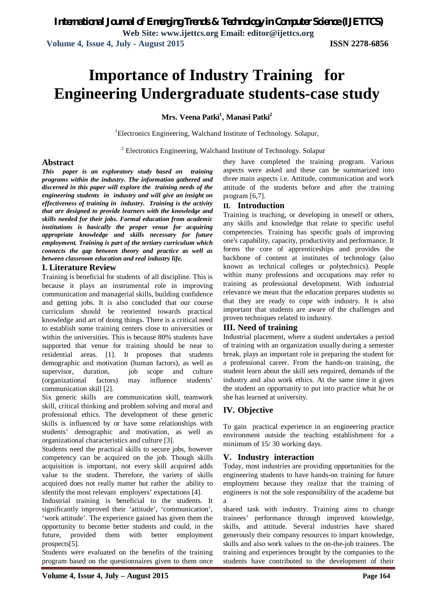**Web Site: www.ijettcs.org Email: editor@ijettcs.org Volume 4, Issue 4, July - August 2015 ISSN 2278-6856**

# **Importance of Industry Training for Engineering Undergraduate students-case study**

**Mrs. Veena Patki<sup>1</sup> , Manasi Patki<sup>2</sup>**

<sup>1</sup>Electronics Engineering, Walchand Institute of Technology. Solapur,

<sup>2</sup> Electronics Engineering, Walchand Institute of Technology. Solapur

#### **Abstract**

*This paper is an exploratory study based on training programs within the industry. The information gathered and discerned in this paper will explore the training needs of the engineering students in industry and will give an insight on effectiveness of training in industry. Training is the activity that are designed to provide learners with the knowledge and skills needed for their jobs. Formal education from academic institutions is basically the proper venue for acquiring appropriate knowledge and skills necessary for future employment. Training is part of the tertiary curriculum which connects the gap between theory and practice as well as between classroom education and real industry life.* 

#### **I. Literature Review**

Training is beneficial for students of all discipline. This is because it plays an instrumental role in improving communication and managerial skills, building confidence and getting jobs. It is also concluded that our course curriculum should be reoriented towards practical knowledge and art of doing things. There is a critical need to establish some training centers close to universities or within the universities. This is because 80% students have supported that venue for training should be near to residential areas. [1]. It proposes that students demographic and motivation (human factors), as well as supervisor, duration, job scope and culture (organizational factors) may influence students' communication skill [2].

Six generic skills are communication skill, teamwork skill, critical thinking and problem solving and moral and professional ethics. The development of these generic skills is influenced by or have some relationships with students' demographic and motivation, as well as organizational characteristics and culture [3].

Students need the practical skills to secure jobs, however competency can be acquired on the job. Though skills acquisition is important, not every skill acquired adds value to the student. Therefore, the variety of skills acquired does not really matter but rather the ability to identify the most relevant employers' expectations [4].

Industrial training is beneficial to the students. It significantly improved their 'attitude', 'communication', 'work attitude'. The experience gained has given them the opportunity to become better students and could, in the future, provided them with better employment prospects[5].

Students were evaluated on the benefits of the training program based on the questionnaires given to them once

they have completed the training program. Various aspects were asked and these can be summarized into three main aspects i.e. Attitude, communication and work attitude of the students before and after the training program [6,7].

# **II. Introduction**

Training is teaching, or developing in oneself or others, any skills and knowledge that relate to specific useful competencies. Training has specific goals of improving one's capability, capacity, productivity and performance. It forms the core of apprenticeships and provides the backbone of content at institutes of technology (also known as technical colleges or polytechnics). People within many professions and occupations may refer to training as professional development. With industrial relevance we mean that the education prepares students so that they are ready to cope with industry. It is also important that students are aware of the challenges and proven techniques related to industry.

### **III. Need of training**

Industrial placement, where a student undertakes a period of training with an organization usually during a semester break, plays an important role in preparing the student for a professional career. From the hands-on training, the student learn about the skill sets required, demands of the industry and also work ethics. At the same time it gives the student an opportunity to put into practice what he or she has learned at university.

# **IV. Objective**

To gain practical experience in an engineering practice environment outside the teaching establishment for a minimum of 15/ 30 working days.

# **V. Industry interaction**

Today, most industries are providing opportunities for the engineering students to have hands-on training for future employment because they realize that the training of engineers is not the sole responsibility of the academe but a

shared task with industry. Training aims to change trainees' performance through improved knowledge, skills, and attitude. Several industries have shared generously their company resources to impart knowledge, skills and also work values to the on-the-job trainees. The training and experiences brought by the companies to the students have contributed to the development of their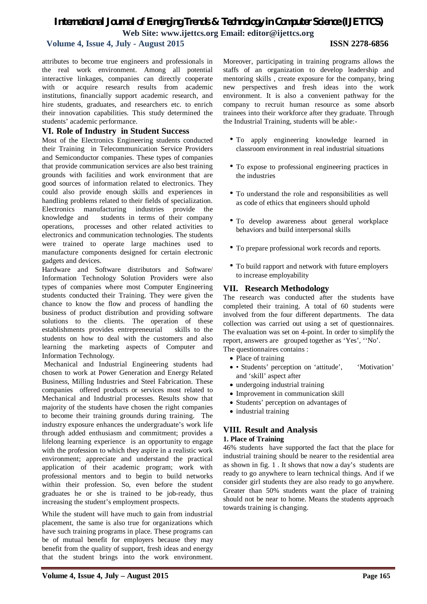# *International Journal of Emerging Trends & Technology in Computer Science (IJETTCS)* **Web Site: www.ijettcs.org Email: editor@ijettcs.org**

# **Volume 4, Issue 4, July - August 2015 ISSN 2278-6856**

attributes to become true engineers and professionals in the real work environment. Among all potential interactive linkages, companies can directly cooperate with or acquire research results from academic institutions, financially support academic research, and hire students, graduates, and researchers etc. to enrich their innovation capabilities. This study determined the students' academic performance.

#### **VI. Role of Industry in Student Success**

Most of the Electronics Engineering students conducted their Training in Telecommunication Service Providers and Semiconductor companies. These types of companies that provide communication services are also best training grounds with facilities and work environment that are good sources of information related to electronics. They could also provide enough skills and experiences in handling problems related to their fields of specialization. Electronics manufacturing industries provide the knowledge and students in terms of their company operations, processes and other related activities to electronics and communication technologies. The students were trained to operate large machines used to manufacture components designed for certain electronic gadgets and devices.

Hardware and Software distributors and Software/ Information Technology Solution Providers were also types of companies where most Computer Engineering students conducted their Training. They were given the chance to know the flow and process of handling the business of product distribution and providing software solutions to the clients. The operation of these establishments provides entrepreneurial skills to the students on how to deal with the customers and also learning the marketing aspects of Computer and Information Technology.

Mechanical and Industrial Engineering students had chosen to work at Power Generation and Energy Related Business, Milling Industries and Steel Fabrication. These companies offered products or services most related to Mechanical and Industrial processes. Results show that majority of the students have chosen the right companies to become their training grounds during training. The industry exposure enhances the undergraduate's work life through added enthusiasm and commitment; provides a lifelong learning experience is an opportunity to engage with the profession to which they aspire in a realistic work environment; appreciate and understand the practical application of their academic program; work with professional mentors and to begin to build networks within their profession. So, even before the student graduates he or she is trained to be job-ready, thus increasing the student's employment prospects.

While the student will have much to gain from industrial placement, the same is also true for organizations which have such training programs in place. These programs can be of mutual benefit for employers because they may benefit from the quality of support, fresh ideas and energy that the student brings into the work environment.

Moreover, participating in training programs allows the staffs of an organization to develop leadership and mentoring skills , create exposure for the company, bring new perspectives and fresh ideas into the work environment. It is also a convenient pathway for the company to recruit human resource as some absorb trainees into their workforce after they graduate. Through the Industrial Training, students will be able:-

- To apply engineering knowledge learned in classroom environment in real industrial situations
- To expose to professional engineering practices in the industries
- To understand the role and responsibilities as well as code of ethics that engineers should uphold
- To develop awareness about general workplace behaviors and build interpersonal skills
- To prepare professional work records and reports.
- To build rapport and network with future employers to increase employability

#### **VII. Research Methodology**

The research was conducted after the students have completed their training. A total of 60 students were involved from the four different departments. The data collection was carried out using a set of questionnaires. The evaluation was set on 4-point. In order to simplify the report, answers are grouped together as 'Yes', ''No'. The questionnaires contains :

- Place of training
- Students' perception on 'attitude', 'Motivation' and 'skill' aspect after
- undergoing industrial training
- Improvement in communication skill
- Students' perception on advantages of
- industrial training

### **VIII. Result and Analysis**

#### **1. Place of Training**

46% students have supported the fact that the place for industrial training should be nearer to the residential area as shown in fig. 1 . It shows that now a day's students are ready to go anywhere to learn technical things. And if we consider girl students they are also ready to go anywhere. Greater than 50% students want the place of training should not be near to home. Means the students approach towards training is changing.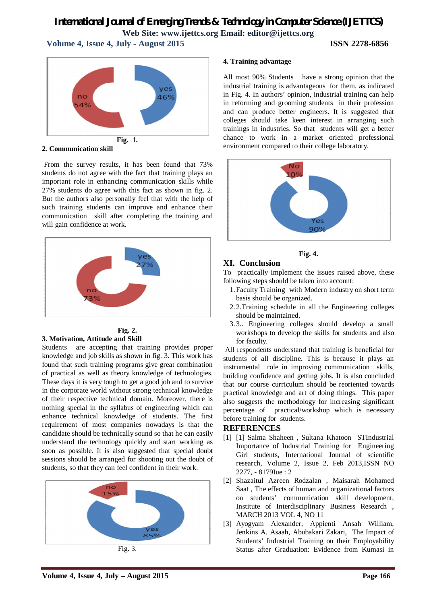# *International Journal of Emerging Trends & Technology in Computer Science (IJETTCS)* **Web Site: www.ijettcs.org Email: editor@ijettcs.org Volume 4, Issue 4, July - August 2015 ISSN 2278-6856**



**2. Communication skill**

From the survey results, it has been found that 73% students do not agree with the fact that training plays an important role in enhancing communication skills while 27% students do agree with this fact as shown in fig. 2. But the authors also personally feel that with the help of such training students can improve and enhance their communication skill after completing the training and will gain confidence at work.



#### **Fig. 2. 3. Motivation, Attitude and Skill**

Students are accepting that training provides proper knowledge and job skills as shown in fig. 3. This work has found that such training programs give great combination of practical as well as theory knowledge of technologies. These days it is very tough to get a good job and to survive in the corporate world without strong technical knowledge of their respective technical domain. Moreover, there is nothing special in the syllabus of engineering which can enhance technical knowledge of students. The first requirement of most companies nowadays is that the candidate should be technically sound so that he can easily understand the technology quickly and start working as soon as possible. It is also suggested that special doubt sessions should be arranged for shooting out the doubt of students, so that they can feel confident in their work.



Fig. 3.

#### **4. Training advantage**

All most 90% Students have a strong opinion that the industrial training is advantageous for them, as indicated in Fig. 4. In authors' opinion, industrial training can help in reforming and grooming students in their profession and can produce better engineers. It is suggested that colleges should take keen interest in arranging such trainings in industries. So that students will get a better chance to work in a market oriented professional environment compared to their college laboratory.



#### **Fig. 4.**

### **XI. Conclusion**

To practically implement the issues raised above, these following steps should be taken into account:

- 1.Faculty Training with Modern industry on short term basis should be organized.
- 2. 2.Training schedule in all the Engineering colleges should be maintained.
- 3. 3.. Engineering colleges should develop a small workshops to develop the skills for students and also for faculty.

All respondents understand that training is beneficial for students of all discipline. This is because it plays an instrumental role in improving communication skills, building confidence and getting jobs. It is also concluded that our course curriculum should be reoriented towards practical knowledge and art of doing things. This paper also suggests the methodology for increasing significant percentage of practical/workshop which is necessary before training for students.

### **REFERENCES**

- [1] [1] Salma Shaheen , Sultana Khatoon STIndustrial Importance of Industrial Training for Engineering Girl students, International Journal of scientific research, Volume 2, Issue 2, Feb 2013,ISSN NO 2277, - 8179Iue : 2
- [2] Shazaitul Azreen Rodzalan , Maisarah Mohamed Saat , The effects of human and organizational factors on students' communication skill development, Institute of Interdisciplinary Business Research , MARCH 2013 VOL 4, NO 11
- [3] Ayogyam Alexander, Appienti Ansah William, Jenkins A. Asaah, Abubakari Zakari, The Impact of Students' Industrial Training on their Employability Status after Graduation: Evidence from Kumasi in

**Volume 4, Issue 4, July – August 2015 Page 166**